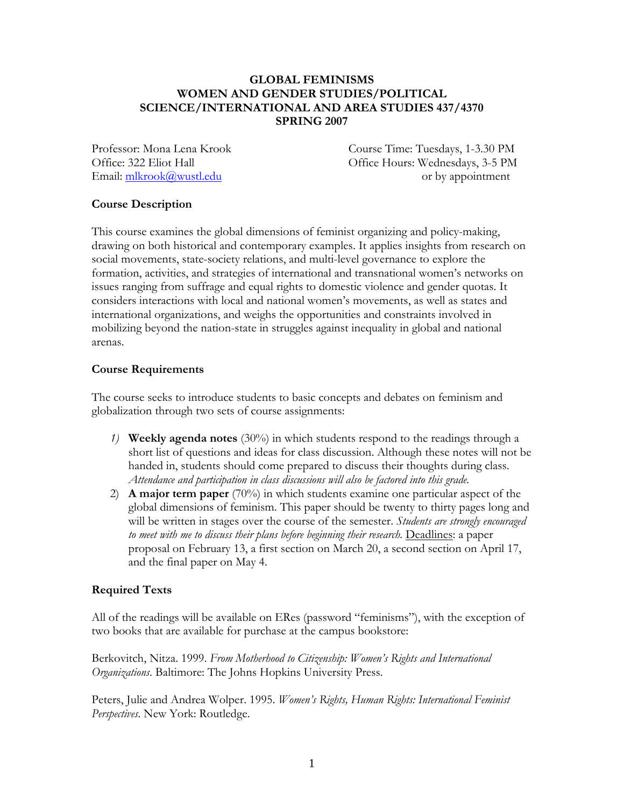## **GLOBAL FEMINISMS WOMEN AND GENDER STUDIES/POLITICAL SCIENCE/INTERNATIONAL AND AREA STUDIES 437/4370 SPRING 2007**

Professor: Mona Lena Krook Course Time: Tuesdays, 1-3.30 PM Office: 322 Eliot Hall Office Hours: Wednesdays, 3-5 PM Email:  $\frac{m\text{krook}(\hat{a})wustledu}{m\text{krook}(\hat{a})wustledu}$  or by appointment

# **Course Description**

This course examines the global dimensions of feminist organizing and policy-making, drawing on both historical and contemporary examples. It applies insights from research on social movements, state-society relations, and multi-level governance to explore the formation, activities, and strategies of international and transnational women's networks on issues ranging from suffrage and equal rights to domestic violence and gender quotas. It considers interactions with local and national women's movements, as well as states and international organizations, and weighs the opportunities and constraints involved in mobilizing beyond the nation-state in struggles against inequality in global and national arenas.

# **Course Requirements**

The course seeks to introduce students to basic concepts and debates on feminism and globalization through two sets of course assignments:

- *1)* **Weekly agenda notes** (30%) in which students respond to the readings through a short list of questions and ideas for class discussion. Although these notes will not be handed in, students should come prepared to discuss their thoughts during class. *Attendance and participation in class discussions will also be factored into this grade.*
- 2) **A major term paper** (70%) in which students examine one particular aspect of the global dimensions of feminism. This paper should be twenty to thirty pages long and will be written in stages over the course of the semester. *Students are strongly encouraged*  to meet with me to discuss their plans before beginning their research. **Deadlines:** a paper proposal on February 13, a first section on March 20, a second section on April 17, and the final paper on May 4.

# **Required Texts**

All of the readings will be available on ERes (password "feminisms"), with the exception of two books that are available for purchase at the campus bookstore:

Berkovitch, Nitza. 1999. *From Motherhood to Citizenship: Women's Rights and International Organizations*. Baltimore: The Johns Hopkins University Press.

Peters, Julie and Andrea Wolper. 1995. *Women's Rights, Human Rights: International Feminist Perspectives*. New York: Routledge.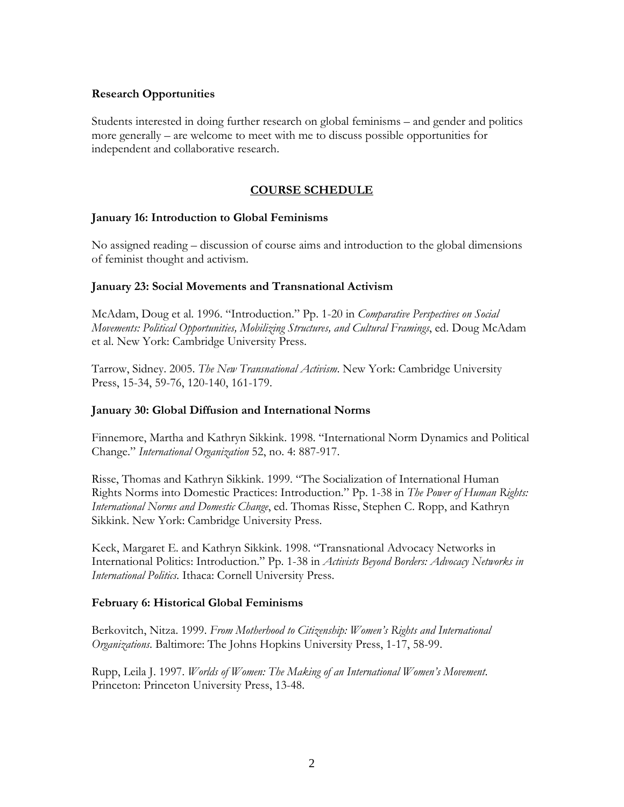### **Research Opportunities**

Students interested in doing further research on global feminisms – and gender and politics more generally – are welcome to meet with me to discuss possible opportunities for independent and collaborative research.

# **COURSE SCHEDULE**

### **January 16: Introduction to Global Feminisms**

No assigned reading – discussion of course aims and introduction to the global dimensions of feminist thought and activism.

### **January 23: Social Movements and Transnational Activism**

McAdam, Doug et al. 1996. "Introduction." Pp. 1-20 in *Comparative Perspectives on Social Movements: Political Opportunities, Mobilizing Structures, and Cultural Framings*, ed. Doug McAdam et al. New York: Cambridge University Press.

Tarrow, Sidney. 2005. *The New Transnational Activism*. New York: Cambridge University Press, 15-34, 59-76, 120-140, 161-179.

#### **January 30: Global Diffusion and International Norms**

Finnemore, Martha and Kathryn Sikkink. 1998. "International Norm Dynamics and Political Change." *International Organization* 52, no. 4: 887-917.

Risse, Thomas and Kathryn Sikkink. 1999. "The Socialization of International Human Rights Norms into Domestic Practices: Introduction." Pp. 1-38 in *The Power of Human Rights: International Norms and Domestic Change*, ed. Thomas Risse, Stephen C. Ropp, and Kathryn Sikkink. New York: Cambridge University Press.

Keck, Margaret E. and Kathryn Sikkink. 1998. "Transnational Advocacy Networks in International Politics: Introduction." Pp. 1-38 in *Activists Beyond Borders: Advocacy Networks in International Politics*. Ithaca: Cornell University Press.

## **February 6: Historical Global Feminisms**

Berkovitch, Nitza. 1999. *From Motherhood to Citizenship: Women's Rights and International Organizations*. Baltimore: The Johns Hopkins University Press, 1-17, 58-99.

Rupp, Leila J. 1997. *Worlds of Women: The Making of an International Women's Movement*. Princeton: Princeton University Press, 13-48.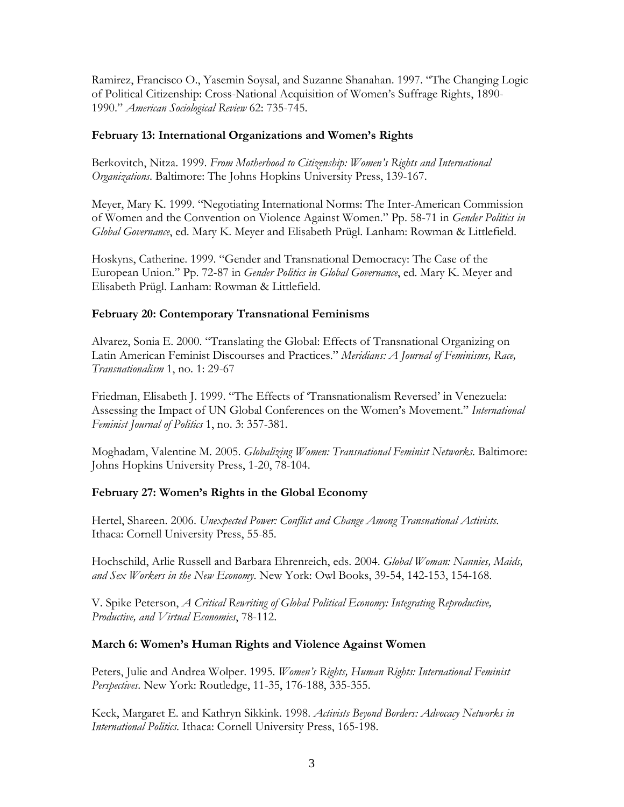Ramirez, Francisco O., Yasemin Soysal, and Suzanne Shanahan. 1997. "The Changing Logic of Political Citizenship: Cross-National Acquisition of Women's Suffrage Rights, 1890- 1990." *American Sociological Review* 62: 735-745.

### **February 13: International Organizations and Women's Rights**

Berkovitch, Nitza. 1999. *From Motherhood to Citizenship: Women's Rights and International Organizations*. Baltimore: The Johns Hopkins University Press, 139-167.

Meyer, Mary K. 1999. "Negotiating International Norms: The Inter-American Commission of Women and the Convention on Violence Against Women." Pp. 58-71 in *Gender Politics in Global Governance*, ed. Mary K. Meyer and Elisabeth Prügl. Lanham: Rowman & Littlefield.

Hoskyns, Catherine. 1999. "Gender and Transnational Democracy: The Case of the European Union." Pp. 72-87 in *Gender Politics in Global Governance*, ed. Mary K. Meyer and Elisabeth Prügl. Lanham: Rowman & Littlefield.

## **February 20: Contemporary Transnational Feminisms**

Alvarez, Sonia E. 2000. "Translating the Global: Effects of Transnational Organizing on Latin American Feminist Discourses and Practices." *Meridians: A Journal of Feminisms, Race, Transnationalism* 1, no. 1: 29-67

Friedman, Elisabeth J. 1999. "The Effects of 'Transnationalism Reversed' in Venezuela: Assessing the Impact of UN Global Conferences on the Women's Movement." *International Feminist Journal of Politics* 1, no. 3: 357-381.

Moghadam, Valentine M. 2005. *Globalizing Women: Transnational Feminist Networks*. Baltimore: Johns Hopkins University Press, 1-20, 78-104.

## **February 27: Women's Rights in the Global Economy**

Hertel, Shareen. 2006. *Unexpected Power: Conflict and Change Among Transnational Activists*. Ithaca: Cornell University Press, 55-85.

Hochschild, Arlie Russell and Barbara Ehrenreich, eds. 2004. *Global Woman: Nannies, Maids, and Sex Workers in the New Economy*. New York: Owl Books, 39-54, 142-153, 154-168.

V. Spike Peterson, *A Critical Rewriting of Global Political Economy: Integrating Reproductive, Productive, and Virtual Economies*, 78-112.

## **March 6: Women's Human Rights and Violence Against Women**

Peters, Julie and Andrea Wolper. 1995. *Women's Rights, Human Rights: International Feminist Perspectives*. New York: Routledge, 11-35, 176-188, 335-355.

Keck, Margaret E. and Kathryn Sikkink. 1998. *Activists Beyond Borders: Advocacy Networks in International Politics*. Ithaca: Cornell University Press, 165-198.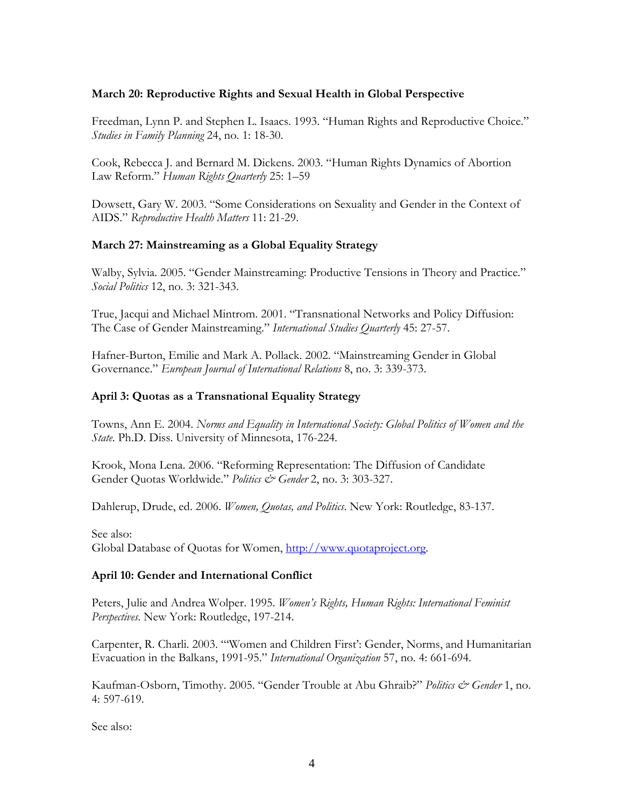### **March 20: Reproductive Rights and Sexual Health in Global Perspective**

Freedman, Lynn P. and Stephen L. Isaacs. 1993. "Human Rights and Reproductive Choice." *Studies in Family Planning* 24, no. 1: 18-30.

Cook, Rebecca J. and Bernard M. Dickens. 2003. "Human Rights Dynamics of Abortion Law Reform." *Human Rights Quarterly* 25: 1–59

Dowsett, Gary W. 2003. "Some Considerations on Sexuality and Gender in the Context of AIDS." *Reproductive Health Matters* 11: 21-29.

### **March 27: Mainstreaming as a Global Equality Strategy**

Walby, Sylvia. 2005. "Gender Mainstreaming: Productive Tensions in Theory and Practice." *Social Politics* 12, no. 3: 321-343.

True, Jacqui and Michael Mintrom. 2001. "Transnational Networks and Policy Diffusion: The Case of Gender Mainstreaming." *International Studies Quarterly* 45: 27-57.

Hafner-Burton, Emilie and Mark A. Pollack. 2002. "Mainstreaming Gender in Global Governance." *European Journal of International Relations* 8, no. 3: 339-373.

### **April 3: Quotas as a Transnational Equality Strategy**

Towns, Ann E. 2004. *Norms and Equality in International Society: Global Politics of Women and the State*. Ph.D. Diss. University of Minnesota, 176-224.

Krook, Mona Lena. 2006. "Reforming Representation: The Diffusion of Candidate Gender Quotas Worldwide." *Politics & Gender* 2, no. 3: 303-327.

Dahlerup, Drude, ed. 2006. *Women, Quotas, and Politics*. New York: Routledge, 83-137.

See also: Global Database of Quotas for Women, [http://www.quotaproject.org.](http://www.quotaproject.org/)

#### **April 10: Gender and International Conflict**

Peters, Julie and Andrea Wolper. 1995. *Women's Rights, Human Rights: International Feminist Perspectives*. New York: Routledge, 197-214.

Carpenter, R. Charli. 2003. "'Women and Children First': Gender, Norms, and Humanitarian Evacuation in the Balkans, 1991-95." *International Organization* 57, no. 4: 661-694.

Kaufman-Osborn, Timothy. 2005. "Gender Trouble at Abu Ghraib?" *Politics & Gender* 1, no. 4: 597-619.

See also: